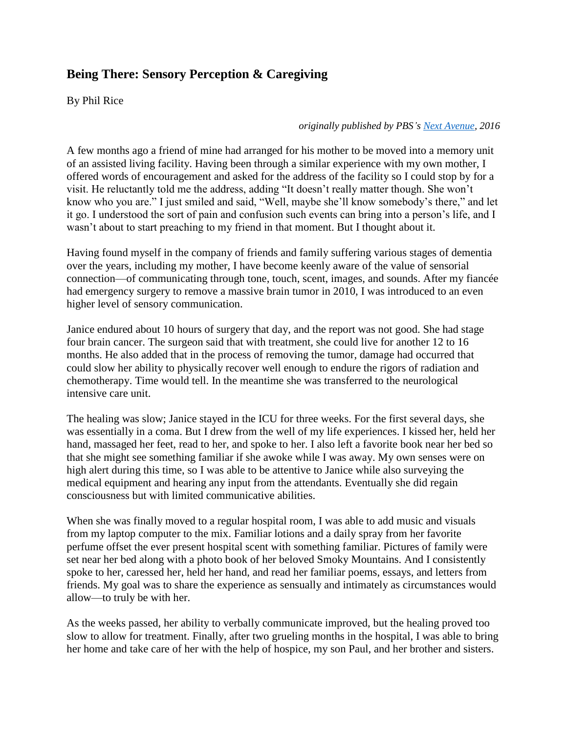## **Being There: Sensory Perception & Caregiving**

By Phil Rice

*originally published by PBS's [Next Avenue,](https://www.nextavenue.org/how-to-talk-without-words-to-a-dying-loved-one/) 2016*

A few months ago a friend of mine had arranged for his mother to be moved into a memory unit of an assisted living facility. Having been through a similar experience with my own mother, I offered words of encouragement and asked for the address of the facility so I could stop by for a visit. He reluctantly told me the address, adding "It doesn't really matter though. She won't know who you are." I just smiled and said, "Well, maybe she'll know somebody's there," and let it go. I understood the sort of pain and confusion such events can bring into a person's life, and I wasn't about to start preaching to my friend in that moment. But I thought about it.

Having found myself in the company of friends and family suffering various stages of dementia over the years, including my mother, I have become keenly aware of the value of sensorial connection—of communicating through tone, touch, scent, images, and sounds. After my fiancée had emergency surgery to remove a massive brain tumor in 2010, I was introduced to an even higher level of sensory communication.

Janice endured about 10 hours of surgery that day, and the report was not good. She had stage four brain cancer. The surgeon said that with treatment, she could live for another 12 to 16 months. He also added that in the process of removing the tumor, damage had occurred that could slow her ability to physically recover well enough to endure the rigors of radiation and chemotherapy. Time would tell. In the meantime she was transferred to the neurological intensive care unit.

The healing was slow; Janice stayed in the ICU for three weeks. For the first several days, she was essentially in a coma. But I drew from the well of my life experiences. I kissed her, held her hand, massaged her feet, read to her, and spoke to her. I also left a favorite book near her bed so that she might see something familiar if she awoke while I was away. My own senses were on high alert during this time, so I was able to be attentive to Janice while also surveying the medical equipment and hearing any input from the attendants. Eventually she did regain consciousness but with limited communicative abilities.

When she was finally moved to a regular hospital room, I was able to add music and visuals from my laptop computer to the mix. Familiar lotions and a daily spray from her favorite perfume offset the ever present hospital scent with something familiar. Pictures of family were set near her bed along with a photo book of her beloved Smoky Mountains. And I consistently spoke to her, caressed her, held her hand, and read her familiar poems, essays, and letters from friends. My goal was to share the experience as sensually and intimately as circumstances would allow—to truly be with her.

As the weeks passed, her ability to verbally communicate improved, but the healing proved too slow to allow for treatment. Finally, after two grueling months in the hospital, I was able to bring her home and take care of her with the help of hospice, my son Paul, and her brother and sisters.